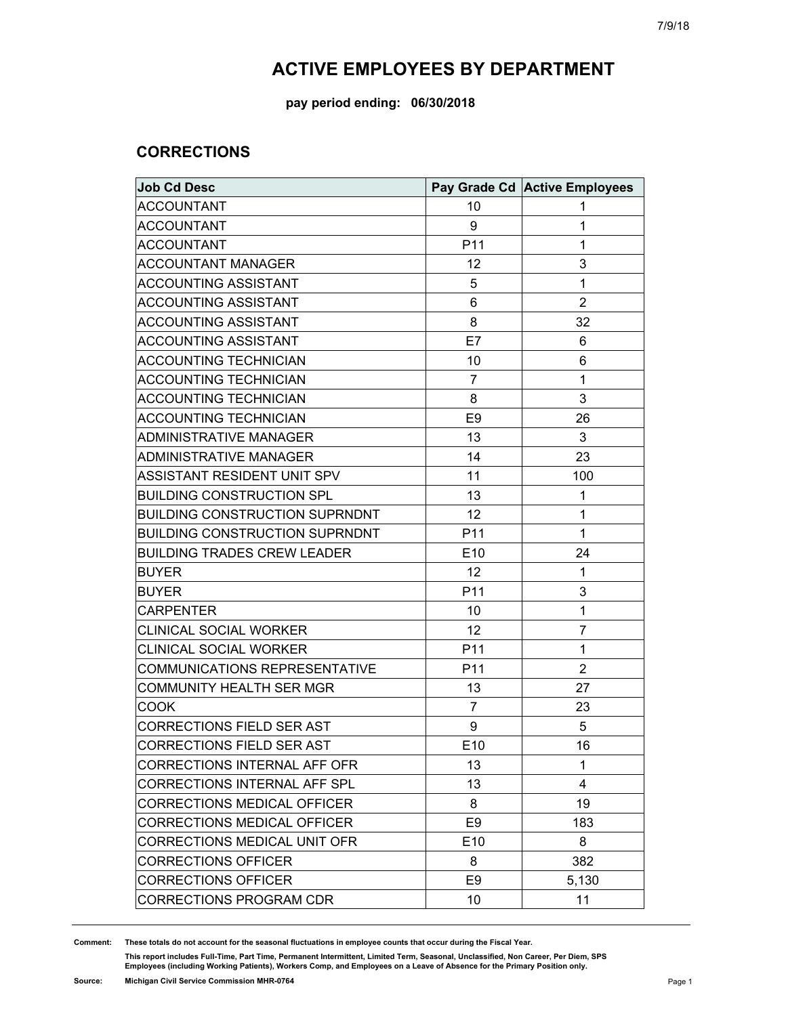**pay period ending: 06/30/2018**

### **CORRECTIONS**

| <b>Job Cd Desc</b>                    |                 | Pay Grade Cd Active Employees |
|---------------------------------------|-----------------|-------------------------------|
| <b>ACCOUNTANT</b>                     | 10              | 1                             |
| <b>ACCOUNTANT</b>                     | 9               | 1                             |
| <b>ACCOUNTANT</b>                     | P <sub>11</sub> | 1                             |
| <b>ACCOUNTANT MANAGER</b>             | 12              | 3                             |
| <b>ACCOUNTING ASSISTANT</b>           | 5               | $\mathbf{1}$                  |
| <b>ACCOUNTING ASSISTANT</b>           | 6               | $\overline{2}$                |
| <b>ACCOUNTING ASSISTANT</b>           | 8               | 32                            |
| ACCOUNTING ASSISTANT                  | E7              | 6                             |
| <b>ACCOUNTING TECHNICIAN</b>          | 10              | 6                             |
| <b>ACCOUNTING TECHNICIAN</b>          | $\overline{7}$  | $\mathbf 1$                   |
| <b>ACCOUNTING TECHNICIAN</b>          | 8               | 3                             |
| <b>ACCOUNTING TECHNICIAN</b>          | E9              | 26                            |
| <b>ADMINISTRATIVE MANAGER</b>         | 13              | 3                             |
| ADMINISTRATIVE MANAGER                | 14              | 23                            |
| ASSISTANT RESIDENT UNIT SPV           | 11              | 100                           |
| <b>BUILDING CONSTRUCTION SPL</b>      | 13              | 1                             |
| <b>BUILDING CONSTRUCTION SUPRNDNT</b> | 12              | $\mathbf 1$                   |
| <b>BUILDING CONSTRUCTION SUPRNDNT</b> | P <sub>11</sub> | $\mathbf 1$                   |
| <b>BUILDING TRADES CREW LEADER</b>    | E <sub>10</sub> | 24                            |
| <b>BUYER</b>                          | 12              | 1                             |
| <b>BUYER</b>                          | P <sub>11</sub> | 3                             |
| <b>CARPENTER</b>                      | 10              | $\mathbf 1$                   |
| <b>CLINICAL SOCIAL WORKER</b>         | 12              | $\overline{7}$                |
| <b>CLINICAL SOCIAL WORKER</b>         | P <sub>11</sub> | 1                             |
| <b>COMMUNICATIONS REPRESENTATIVE</b>  | P <sub>11</sub> | $\overline{2}$                |
| <b>COMMUNITY HEALTH SER MGR</b>       | 13              | 27                            |
| COOK                                  | 7               | 23                            |
| CORRECTIONS FIELD SER AST             | 9               | 5                             |
| <b>CORRECTIONS FIELD SER AST</b>      | E10             | 16                            |
| CORRECTIONS INTERNAL AFF OFR          | 13              | 1                             |
| <b>CORRECTIONS INTERNAL AFF SPL</b>   | 13              | 4                             |
| <b>CORRECTIONS MEDICAL OFFICER</b>    | 8               | 19                            |
| <b>CORRECTIONS MEDICAL OFFICER</b>    | E <sub>9</sub>  | 183                           |
| CORRECTIONS MEDICAL UNIT OFR          | E <sub>10</sub> | 8                             |
| <b>CORRECTIONS OFFICER</b>            | 8               | 382                           |
| <b>CORRECTIONS OFFICER</b>            | E <sub>9</sub>  | 5,130                         |
| <b>CORRECTIONS PROGRAM CDR</b>        | 10              | 11                            |

**Comment: These totals do not account for the seasonal fluctuations in employee counts that occur during the Fiscal Year.**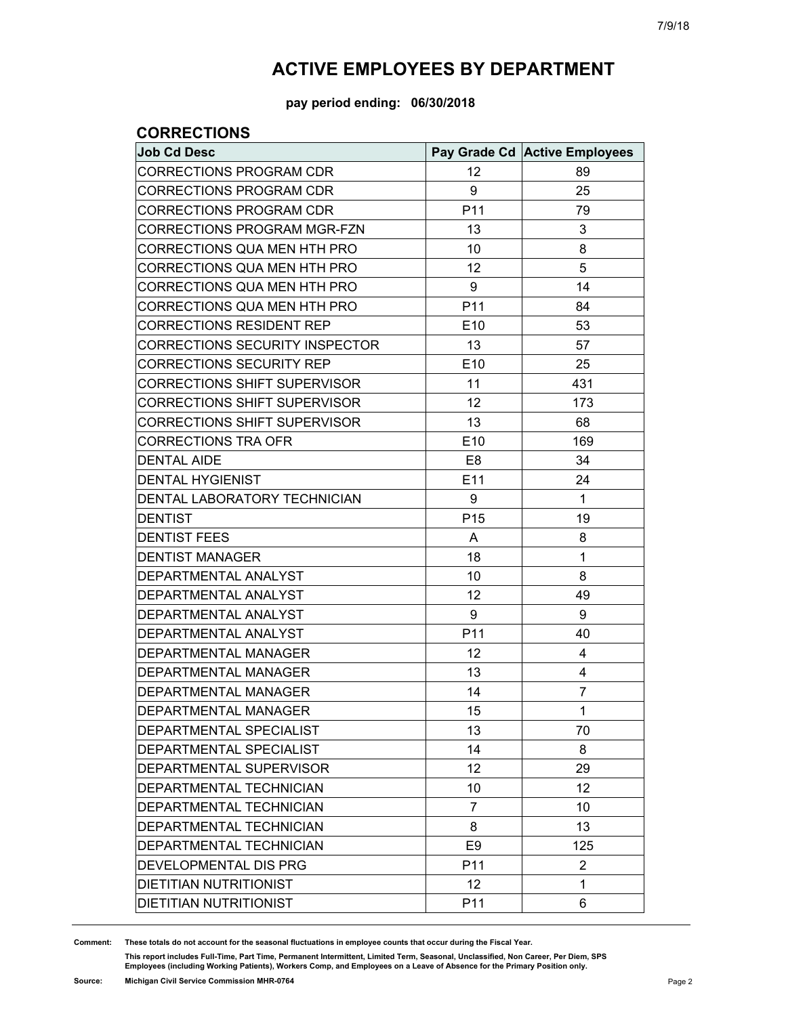**pay period ending: 06/30/2018**

### **CORRECTIONS**

| <b>Job Cd Desc</b>                    |                 | Pay Grade Cd Active Employees |
|---------------------------------------|-----------------|-------------------------------|
| CORRECTIONS PROGRAM CDR               | 12              | 89                            |
| <b>CORRECTIONS PROGRAM CDR</b>        | 9               | 25                            |
| <b>CORRECTIONS PROGRAM CDR</b>        | P <sub>11</sub> | 79                            |
| CORRECTIONS PROGRAM MGR-FZN           | 13              | 3                             |
| CORRECTIONS QUA MEN HTH PRO           | 10              | 8                             |
| CORRECTIONS QUA MEN HTH PRO           | 12              | 5                             |
| CORRECTIONS QUA MEN HTH PRO           | 9               | 14                            |
| CORRECTIONS QUA MEN HTH PRO           | P <sub>11</sub> | 84                            |
| CORRECTIONS RESIDENT REP              | E <sub>10</sub> | 53                            |
| <b>CORRECTIONS SECURITY INSPECTOR</b> | 13              | 57                            |
| <b>CORRECTIONS SECURITY REP</b>       | E <sub>10</sub> | 25                            |
| <b>CORRECTIONS SHIFT SUPERVISOR</b>   | 11              | 431                           |
| <b>CORRECTIONS SHIFT SUPERVISOR</b>   | 12              | 173                           |
| <b>CORRECTIONS SHIFT SUPERVISOR</b>   | 13              | 68                            |
| <b>CORRECTIONS TRA OFR</b>            | E <sub>10</sub> | 169                           |
| <b>DENTAL AIDE</b>                    | E8              | 34                            |
| <b>DENTAL HYGIENIST</b>               | E11             | 24                            |
| DENTAL LABORATORY TECHNICIAN          | 9               | 1                             |
| <b>DENTIST</b>                        | P <sub>15</sub> | 19                            |
| <b>DENTIST FEES</b>                   | A               | 8                             |
| <b>DENTIST MANAGER</b>                | 18              | $\mathbf{1}$                  |
| DEPARTMENTAL ANALYST                  | 10              | 8                             |
| DEPARTMENTAL ANALYST                  | 12              | 49                            |
| DEPARTMENTAL ANALYST                  | 9               | 9                             |
| DEPARTMENTAL ANALYST                  | P <sub>11</sub> | 40                            |
| <b>DEPARTMENTAL MANAGER</b>           | 12              | 4                             |
| DEPARTMENTAL MANAGER                  | 13              | 4                             |
| <b>DEPARTMENTAL MANAGER</b>           | 14              | 7                             |
| <b>DEPARTMENTAL MANAGER</b>           | 15              | $\mathbf 1$                   |
| DEPARTMENTAL SPECIALIST               | 13              | 70                            |
| <b>DEPARTMENTAL SPECIALIST</b>        | 14              | 8                             |
| DEPARTMENTAL SUPERVISOR               | 12              | 29                            |
| DEPARTMENTAL TECHNICIAN               | 10              | 12                            |
| DEPARTMENTAL TECHNICIAN               | 7               | 10                            |
| DEPARTMENTAL TECHNICIAN               | 8               | 13                            |
| <b>DEPARTMENTAL TECHNICIAN</b>        | E <sub>9</sub>  | 125                           |
| DEVELOPMENTAL DIS PRG                 | P <sub>11</sub> | 2                             |
| <b>DIETITIAN NUTRITIONIST</b>         | 12              | 1                             |
| DIETITIAN NUTRITIONIST                | P <sub>11</sub> | 6                             |

**Comment: These totals do not account for the seasonal fluctuations in employee counts that occur during the Fiscal Year.**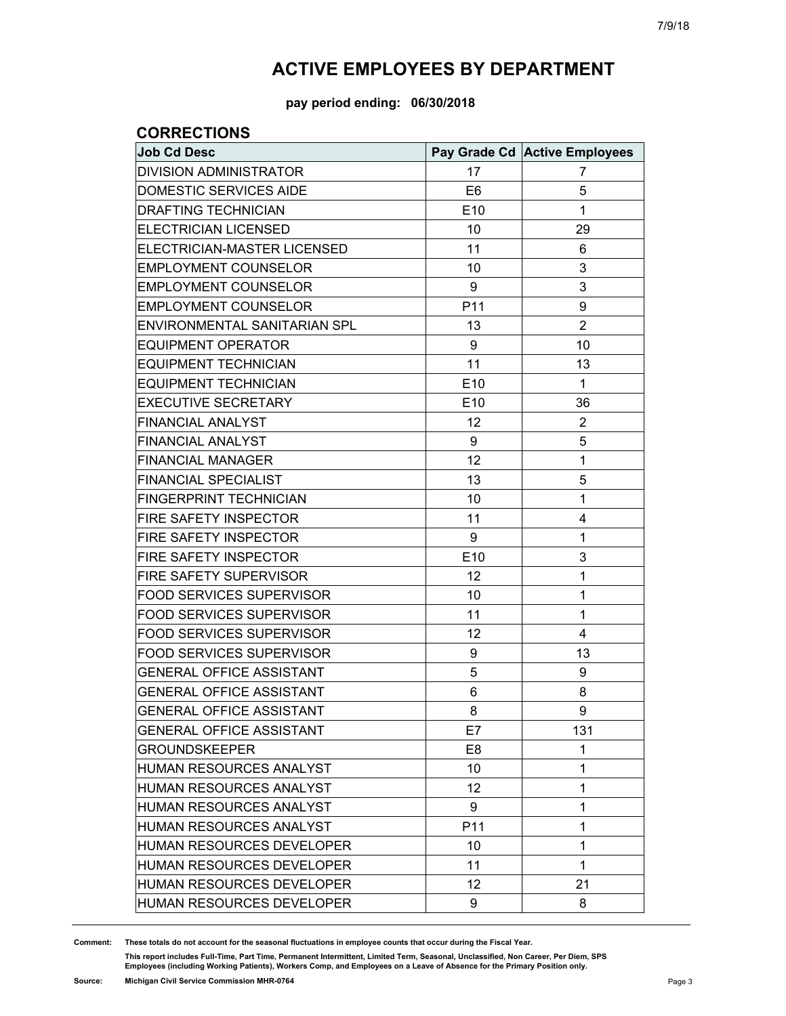**pay period ending: 06/30/2018**

### **CORRECTIONS**

| <b>Job Cd Desc</b>              |                 | Pay Grade Cd Active Employees |
|---------------------------------|-----------------|-------------------------------|
| <b>DIVISION ADMINISTRATOR</b>   | 17              | 7                             |
| DOMESTIC SERVICES AIDE          | E <sub>6</sub>  | 5                             |
| <b>DRAFTING TECHNICIAN</b>      | E <sub>10</sub> | 1                             |
| <b>ELECTRICIAN LICENSED</b>     | 10              | 29                            |
| ELECTRICIAN-MASTER LICENSED     | 11              | 6                             |
| <b>EMPLOYMENT COUNSELOR</b>     | 10              | 3                             |
| <b>EMPLOYMENT COUNSELOR</b>     | 9               | 3                             |
| <b>EMPLOYMENT COUNSELOR</b>     | P11             | 9                             |
| ENVIRONMENTAL SANITARIAN SPL    | 13              | 2                             |
| <b>EQUIPMENT OPERATOR</b>       | 9               | 10                            |
| <b>EQUIPMENT TECHNICIAN</b>     | 11              | 13                            |
| <b>EQUIPMENT TECHNICIAN</b>     | E10             | $\mathbf{1}$                  |
| <b>EXECUTIVE SECRETARY</b>      | E10             | 36                            |
| <b>FINANCIAL ANALYST</b>        | 12              | $\overline{2}$                |
| FINANCIAL ANALYST               | 9               | 5                             |
| <b>FINANCIAL MANAGER</b>        | 12              | 1                             |
| <b>FINANCIAL SPECIALIST</b>     | 13              | 5                             |
| <b>FINGERPRINT TECHNICIAN</b>   | 10              | 1                             |
| FIRE SAFETY INSPECTOR           | 11              | 4                             |
| <b>FIRE SAFETY INSPECTOR</b>    | 9               | 1                             |
| FIRE SAFETY INSPECTOR           | E10             | 3                             |
| <b>FIRE SAFETY SUPERVISOR</b>   | 12              | 1                             |
| <b>FOOD SERVICES SUPERVISOR</b> | 10              | 1                             |
| FOOD SERVICES SUPERVISOR        | 11              | 1                             |
| <b>FOOD SERVICES SUPERVISOR</b> | 12              | 4                             |
| <b>FOOD SERVICES SUPERVISOR</b> | 9               | 13                            |
| <b>GENERAL OFFICE ASSISTANT</b> | 5               | 9                             |
| <b>GENERAL OFFICE ASSISTANT</b> | 6               | 8                             |
| <b>GENERAL OFFICE ASSISTANT</b> | 8               | 9                             |
| <b>GENERAL OFFICE ASSISTANT</b> | E7              | 131                           |
| <b>GROUNDSKEEPER</b>            | E8              | 1                             |
| HUMAN RESOURCES ANALYST         | 10              | $\mathbf{1}$                  |
| HUMAN RESOURCES ANALYST         | 12              | $\mathbf{1}$                  |
| HUMAN RESOURCES ANALYST         | 9               | $\mathbf{1}$                  |
| <b>HUMAN RESOURCES ANALYST</b>  | P <sub>11</sub> | 1                             |
| HUMAN RESOURCES DEVELOPER       | 10              | $\mathbf{1}$                  |
| HUMAN RESOURCES DEVELOPER       | 11              | $\mathbf{1}$                  |
| HUMAN RESOURCES DEVELOPER       | 12              | 21                            |
| HUMAN RESOURCES DEVELOPER       | 9               | 8                             |

**Comment: These totals do not account for the seasonal fluctuations in employee counts that occur during the Fiscal Year.**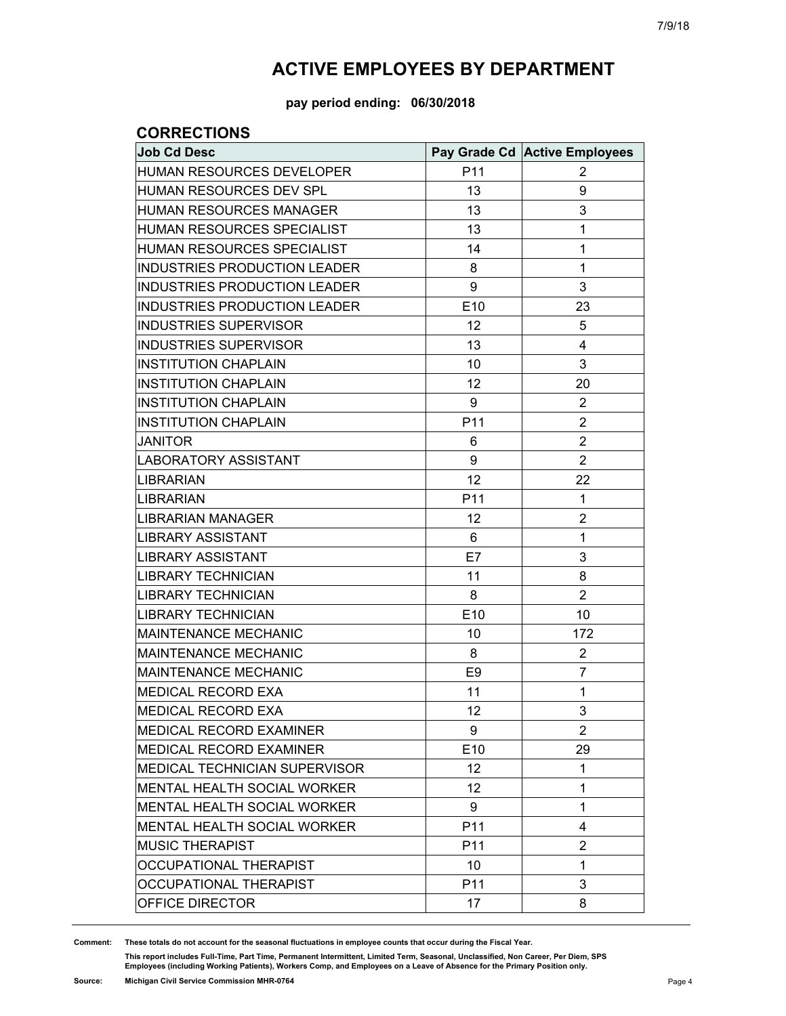**pay period ending: 06/30/2018**

#### **CORRECTIONS**

| <b>Job Cd Desc</b>                   |                 | Pay Grade Cd Active Employees |
|--------------------------------------|-----------------|-------------------------------|
| HUMAN RESOURCES DEVELOPER            | P11             | 2                             |
| HUMAN RESOURCES DEV SPL              | 13              | 9                             |
| <b>HUMAN RESOURCES MANAGER</b>       | 13              | 3                             |
| HUMAN RESOURCES SPECIALIST           | 13              | 1                             |
| HUMAN RESOURCES SPECIALIST           | 14              | 1                             |
| INDUSTRIES PRODUCTION LEADER         | 8               | 1                             |
| <b>INDUSTRIES PRODUCTION LEADER</b>  | 9               | 3                             |
| INDUSTRIES PRODUCTION LEADER         | E10             | 23                            |
| <b>INDUSTRIES SUPERVISOR</b>         | 12              | 5                             |
| <b>INDUSTRIES SUPERVISOR</b>         | 13              | 4                             |
| <b>INSTITUTION CHAPLAIN</b>          | 10              | 3                             |
| <b>INSTITUTION CHAPLAIN</b>          | 12              | 20                            |
| <b>INSTITUTION CHAPLAIN</b>          | 9               | $\overline{2}$                |
| <b>INSTITUTION CHAPLAIN</b>          | P11             | $\overline{2}$                |
| <b>JANITOR</b>                       | 6               | $\overline{2}$                |
| <b>LABORATORY ASSISTANT</b>          | 9               | $\overline{2}$                |
| LIBRARIAN                            | 12              | 22                            |
| <b>LIBRARIAN</b>                     | P11             | 1                             |
| LIBRARIAN MANAGER                    | 12              | $\overline{2}$                |
| LIBRARY ASSISTANT                    | 6               | 1                             |
| LIBRARY ASSISTANT                    | E7              | 3                             |
| LIBRARY TECHNICIAN                   | 11              | 8                             |
| LIBRARY TECHNICIAN                   | 8               | $\overline{2}$                |
| <b>LIBRARY TECHNICIAN</b>            | E10             | 10                            |
| <b>MAINTENANCE MECHANIC</b>          | 10              | 172                           |
| MAINTENANCE MECHANIC                 | 8               | $\overline{2}$                |
| <b>MAINTENANCE MECHANIC</b>          | E <sub>9</sub>  | $\overline{7}$                |
| <b>MEDICAL RECORD EXA</b>            | 11              | 1                             |
| <b>MEDICAL RECORD EXA</b>            | 12              | 3                             |
| <b>MEDICAL RECORD EXAMINER</b>       | 9               | 2                             |
| <b>MEDICAL RECORD EXAMINER</b>       | E <sub>10</sub> | 29                            |
| <b>MEDICAL TECHNICIAN SUPERVISOR</b> | 12              | 1                             |
| <b>MENTAL HEALTH SOCIAL WORKER</b>   | 12              | 1                             |
| MENTAL HEALTH SOCIAL WORKER          | 9               | 1                             |
| <b>MENTAL HEALTH SOCIAL WORKER</b>   | P <sub>11</sub> | 4                             |
| <b>MUSIC THERAPIST</b>               | P <sub>11</sub> | $\overline{2}$                |
| OCCUPATIONAL THERAPIST               | 10              | 1                             |
| OCCUPATIONAL THERAPIST               | P <sub>11</sub> | 3                             |
| OFFICE DIRECTOR                      | 17              | 8                             |

**Comment: These totals do not account for the seasonal fluctuations in employee counts that occur during the Fiscal Year.**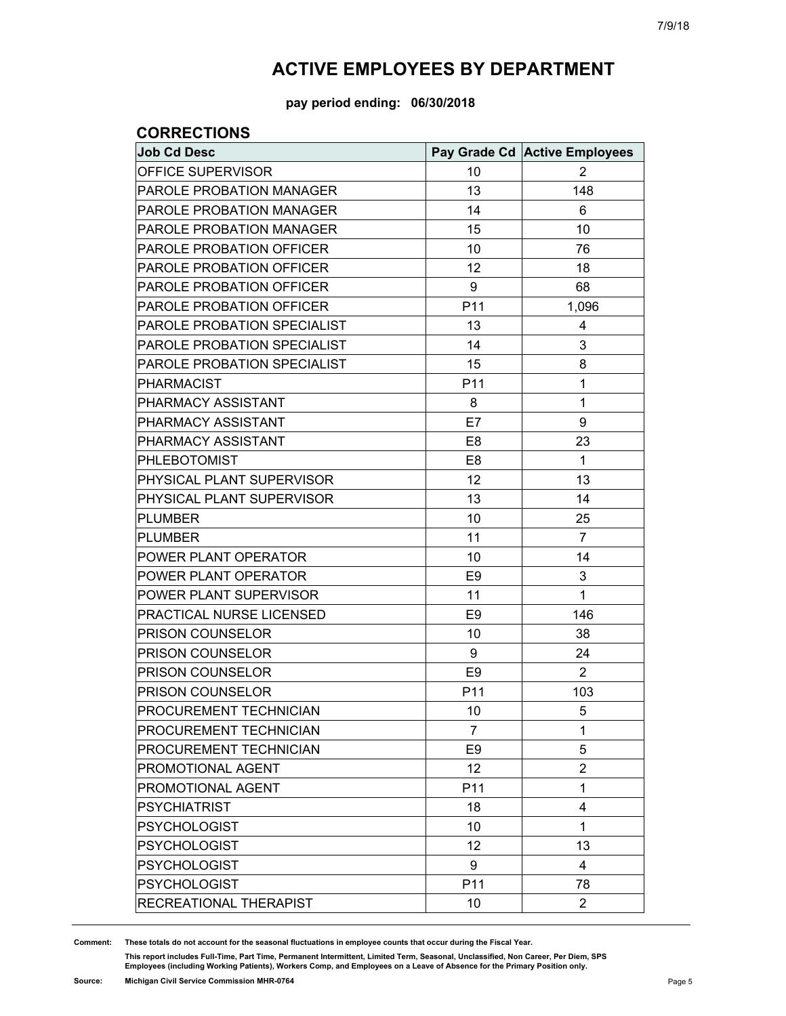**pay period ending: 06/30/2018**

### **CORRECTIONS**

| <b>Job Cd Desc</b>              |                 | Pay Grade Cd Active Employees |
|---------------------------------|-----------------|-------------------------------|
| OFFICE SUPERVISOR               | 10              | 2                             |
| PAROLE PROBATION MANAGER        | 13              | 148                           |
| <b>PAROLE PROBATION MANAGER</b> | 14              | 6                             |
| PAROLE PROBATION MANAGER        | 15              | 10                            |
| <b>PAROLE PROBATION OFFICER</b> | 10              | 76                            |
| PAROLE PROBATION OFFICER        | 12              | 18                            |
| PAROLE PROBATION OFFICER        | 9               | 68                            |
| PAROLE PROBATION OFFICER        | P11             | 1,096                         |
| PAROLE PROBATION SPECIALIST     | 13              | 4                             |
| PAROLE PROBATION SPECIALIST     | 14              | 3                             |
| PAROLE PROBATION SPECIALIST     | 15              | 8                             |
| <b>PHARMACIST</b>               | P11             | 1                             |
| PHARMACY ASSISTANT              | 8               | 1                             |
| PHARMACY ASSISTANT              | E7              | 9                             |
| PHARMACY ASSISTANT              | E <sub>8</sub>  | 23                            |
| PHLEBOTOMIST                    | E <sub>8</sub>  | $\mathbf{1}$                  |
| PHYSICAL PLANT SUPERVISOR       | 12              | 13                            |
| PHYSICAL PLANT SUPERVISOR       | 13              | 14                            |
| <b>PLUMBER</b>                  | 10              | 25                            |
| <b>PLUMBER</b>                  | 11              | $\overline{7}$                |
| POWER PLANT OPERATOR            | 10              | 14                            |
| POWER PLANT OPERATOR            | E <sub>9</sub>  | 3                             |
| POWER PLANT SUPERVISOR          | 11              | 1                             |
| PRACTICAL NURSE LICENSED        | E <sub>9</sub>  | 146                           |
| <b>PRISON COUNSELOR</b>         | 10              | 38                            |
| PRISON COUNSELOR                | 9               | 24                            |
| PRISON COUNSELOR                | E <sub>9</sub>  | $\overline{2}$                |
| PRISON COUNSELOR                | P <sub>11</sub> | 103                           |
| PROCUREMENT TECHNICIAN          | 10              | 5                             |
| PROCUREMENT TECHNICIAN          | $\overline{7}$  | 1                             |
| PROCUREMENT TECHNICIAN          | E <sub>9</sub>  | 5                             |
| PROMOTIONAL AGENT               | 12              | $\overline{2}$                |
| PROMOTIONAL AGENT               | P <sub>11</sub> | 1                             |
| <b>PSYCHIATRIST</b>             | 18              | 4                             |
| <b>PSYCHOLOGIST</b>             | 10              | 1                             |
| <b>PSYCHOLOGIST</b>             | 12              | 13                            |
| <b>PSYCHOLOGIST</b>             | 9               | 4                             |
| <b>PSYCHOLOGIST</b>             | P11             | 78                            |
| RECREATIONAL THERAPIST          | 10              | $\overline{2}$                |

**Comment: These totals do not account for the seasonal fluctuations in employee counts that occur during the Fiscal Year.**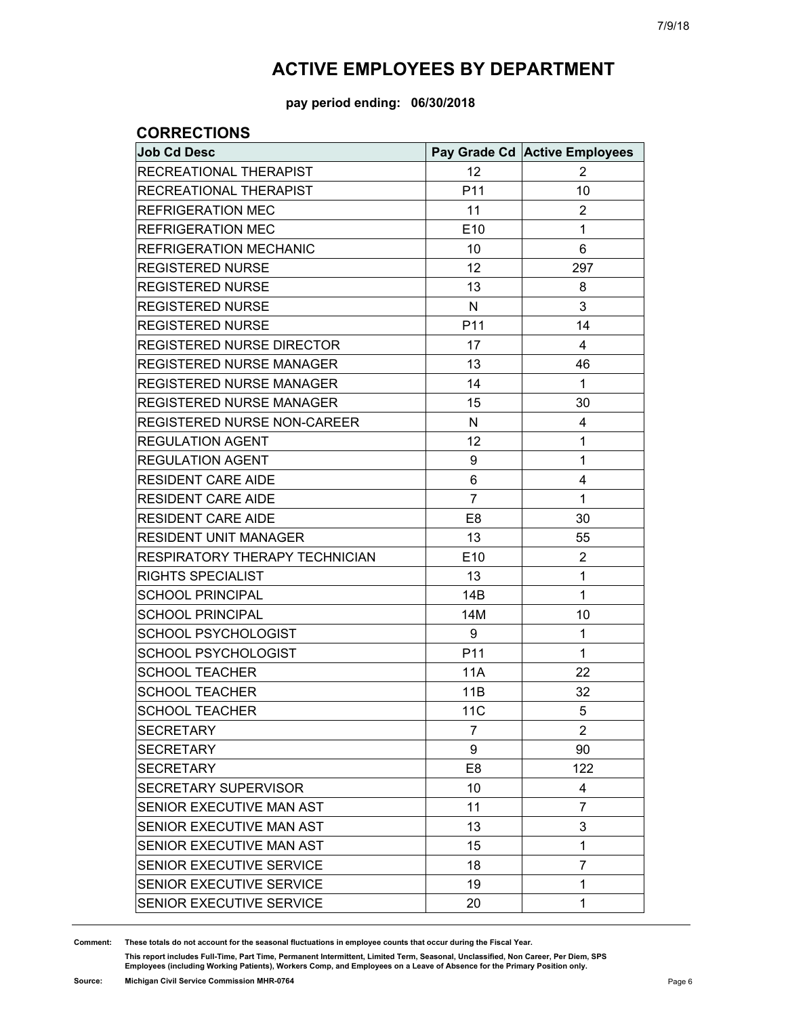**pay period ending: 06/30/2018**

### **CORRECTIONS**

| <b>Job Cd Desc</b>                 |                | Pay Grade Cd Active Employees |
|------------------------------------|----------------|-------------------------------|
| RECREATIONAL THERAPIST             | 12             | 2                             |
| RECREATIONAL THERAPIST             | P11            | 10                            |
| <b>REFRIGERATION MEC</b>           | 11             | 2                             |
| <b>REFRIGERATION MEC</b>           | E10            | 1                             |
| <b>REFRIGERATION MECHANIC</b>      | 10             | 6                             |
| <b>REGISTERED NURSE</b>            | 12             | 297                           |
| <b>REGISTERED NURSE</b>            | 13             | 8                             |
| <b>REGISTERED NURSE</b>            | $\mathsf{N}$   | 3                             |
| <b>REGISTERED NURSE</b>            | P11            | 14                            |
| <b>REGISTERED NURSE DIRECTOR</b>   | 17             | 4                             |
| <b>REGISTERED NURSE MANAGER</b>    | 13             | 46                            |
| <b>REGISTERED NURSE MANAGER</b>    | 14             | $\mathbf{1}$                  |
| <b>REGISTERED NURSE MANAGER</b>    | 15             | 30                            |
| <b>REGISTERED NURSE NON-CAREER</b> | N              | 4                             |
| <b>REGULATION AGENT</b>            | 12             | 1                             |
| <b>REGULATION AGENT</b>            | 9              | 1                             |
| <b>RESIDENT CARE AIDE</b>          | 6              | 4                             |
| <b>RESIDENT CARE AIDE</b>          | $\overline{7}$ | 1                             |
| <b>RESIDENT CARE AIDE</b>          | E <sub>8</sub> | 30                            |
| <b>RESIDENT UNIT MANAGER</b>       | 13             | 55                            |
| RESPIRATORY THERAPY TECHNICIAN     | E10            | $\overline{2}$                |
| <b>RIGHTS SPECIALIST</b>           | 13             | 1                             |
| <b>SCHOOL PRINCIPAL</b>            | 14B            | 1                             |
| <b>SCHOOL PRINCIPAL</b>            | 14M            | 10                            |
| <b>SCHOOL PSYCHOLOGIST</b>         | 9              | 1                             |
| SCHOOL PSYCHOLOGIST                | P11            | 1                             |
| <b>SCHOOL TEACHER</b>              | <b>11A</b>     | 22                            |
| <b>SCHOOL TEACHER</b>              | 11B            | 32                            |
| <b>SCHOOL TEACHER</b>              | <b>11C</b>     | 5                             |
| <b>SECRETARY</b>                   | $\overline{7}$ | 2                             |
| <b>SECRETARY</b>                   | 9              | 90                            |
| <b>SECRETARY</b>                   | E <sub>8</sub> | 122                           |
| <b>SECRETARY SUPERVISOR</b>        | 10             | 4                             |
| SENIOR EXECUTIVE MAN AST           | 11             | $\overline{7}$                |
| SENIOR EXECUTIVE MAN AST           | 13             | 3                             |
| SENIOR EXECUTIVE MAN AST           | 15             | 1                             |
| SENIOR EXECUTIVE SERVICE           | 18             | 7                             |
| SENIOR EXECUTIVE SERVICE           | 19             | 1                             |
| SENIOR EXECUTIVE SERVICE           | 20             | 1                             |

**Comment: These totals do not account for the seasonal fluctuations in employee counts that occur during the Fiscal Year.**